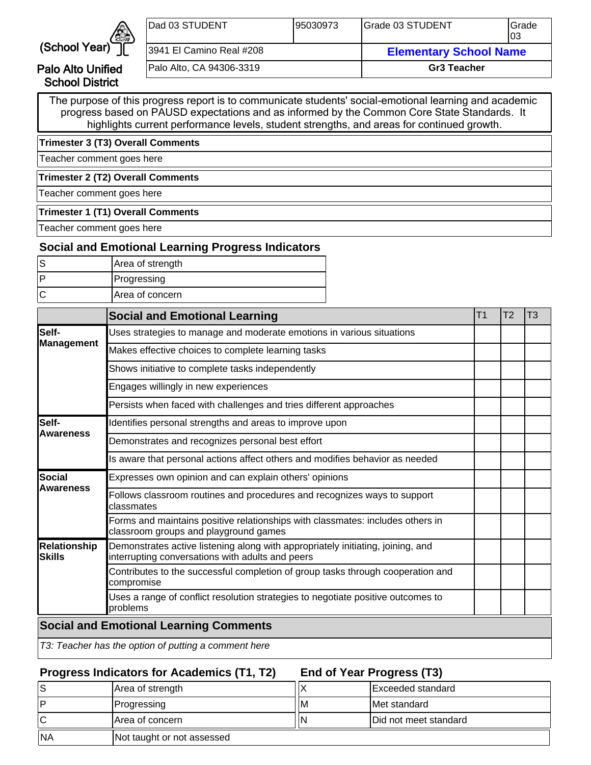

Palo Alto Unified School District

| Dad 03 STUDENT           | 195030973 | IGrade 03 STUDENT             | Grade<br>103 |
|--------------------------|-----------|-------------------------------|--------------|
| 3941 El Camino Real #208 |           | <b>Elementary School Name</b> |              |
| Palo Alto, CA 94306-3319 |           | <b>Gr3 Teacher</b>            |              |

The purpose of this progress report is to communicate students' social-emotional learning and academic progress based on PAUSD expectations and as informed by the Common Core State Standards. It highlights current performance levels, student strengths, and areas for continued growth.

**Trimester 3 (T3) Overall Comments**

Teacher comment goes here

**Trimester 2 (T2) Overall Comments**

Teacher comment goes here

#### **Trimester 1 (T1) Overall Comments**

Teacher comment goes here

## **Social and Emotional Learning Progress Indicators**

| Area of strength |
|------------------|
| Progressing      |
| Area of concern  |

|                               | <b>Social and Emotional Learning</b>                                                                                                | T <sub>1</sub> | T <sub>2</sub> | T3 |
|-------------------------------|-------------------------------------------------------------------------------------------------------------------------------------|----------------|----------------|----|
| lSelf-                        | Uses strategies to manage and moderate emotions in various situations                                                               |                |                |    |
| Management                    | Makes effective choices to complete learning tasks                                                                                  |                |                |    |
|                               | Shows initiative to complete tasks independently                                                                                    |                |                |    |
|                               | Engages willingly in new experiences                                                                                                |                |                |    |
|                               | Persists when faced with challenges and tries different approaches                                                                  |                |                |    |
| Self-                         | Identifies personal strengths and areas to improve upon                                                                             |                |                |    |
| <b>Awareness</b>              | Demonstrates and recognizes personal best effort                                                                                    |                |                |    |
|                               | Is aware that personal actions affect others and modifies behavior as needed                                                        |                |                |    |
| Social                        | Expresses own opinion and can explain others' opinions                                                                              |                |                |    |
| <b>Awareness</b>              | Follows classroom routines and procedures and recognizes ways to support<br>classmates                                              |                |                |    |
|                               | Forms and maintains positive relationships with classmates: includes others in<br>classroom groups and playground games             |                |                |    |
| <b>Relationship</b><br>Skills | Demonstrates active listening along with appropriately initiating, joining, and<br>interrupting conversations with adults and peers |                |                |    |
|                               | Contributes to the successful completion of group tasks through cooperation and<br>compromise                                       |                |                |    |
|                               | Uses a range of conflict resolution strategies to negotiate positive outcomes to<br>problems                                        |                |                |    |
|                               | <b>Social and Emotional Learning Comments</b>                                                                                       |                |                |    |
|                               | T3: Teacher has the option of putting a comment here                                                                                |                |                |    |

## **Progress Indicators for Academics (T1, T2)**

**End of Year Progress (T3)**

| ۱S        | Area of strength           |    | IExceeded standard            |
|-----------|----------------------------|----|-------------------------------|
| ם ו       | Progressing                | ΙM | Met standard                  |
| ΙC        | IArea of concern           | N  | <b>IDid not meet standard</b> |
| <b>NA</b> | Not taught or not assessed |    |                               |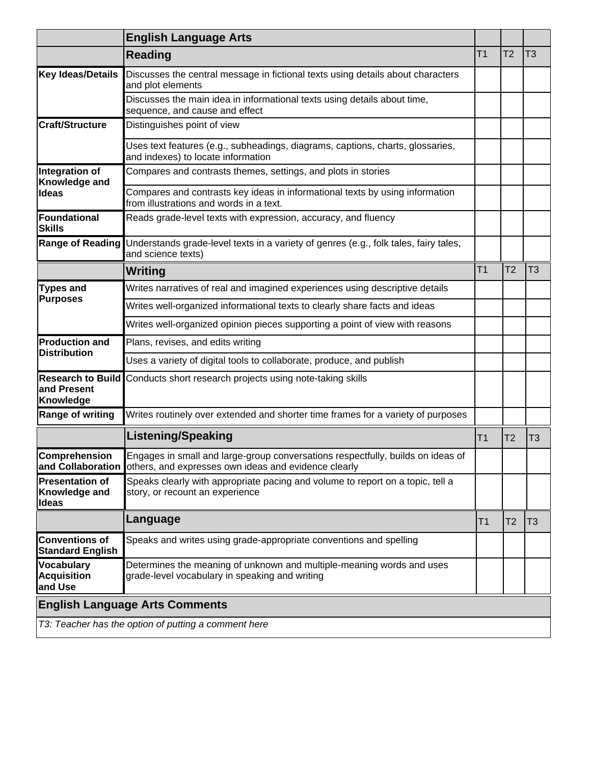|                                                         | <b>English Language Arts</b>                                                                                                                              |                |                |                |
|---------------------------------------------------------|-----------------------------------------------------------------------------------------------------------------------------------------------------------|----------------|----------------|----------------|
|                                                         | <b>Reading</b>                                                                                                                                            | T <sub>1</sub> | T <sub>2</sub> | T <sub>3</sub> |
| <b>Key Ideas/Details</b>                                | Discusses the central message in fictional texts using details about characters<br>and plot elements                                                      |                |                |                |
|                                                         | Discusses the main idea in informational texts using details about time,<br>sequence, and cause and effect                                                |                |                |                |
| <b>Craft/Structure</b>                                  | Distinguishes point of view                                                                                                                               |                |                |                |
|                                                         | Uses text features (e.g., subheadings, diagrams, captions, charts, glossaries,<br>and indexes) to locate information                                      |                |                |                |
| Integration of<br>Knowledge and                         | Compares and contrasts themes, settings, and plots in stories                                                                                             |                |                |                |
| Ideas                                                   | Compares and contrasts key ideas in informational texts by using information<br>from illustrations and words in a text.                                   |                |                |                |
| Foundational<br><b>Skills</b>                           | Reads grade-level texts with expression, accuracy, and fluency                                                                                            |                |                |                |
| Range of Reading                                        | Understands grade-level texts in a variety of genres (e.g., folk tales, fairy tales,<br>and science texts)                                                |                |                |                |
|                                                         | Writing                                                                                                                                                   | T <sub>1</sub> | T <sub>2</sub> | T <sub>3</sub> |
| <b>Types and</b><br><b>Purposes</b>                     | Writes narratives of real and imagined experiences using descriptive details                                                                              |                |                |                |
|                                                         | Writes well-organized informational texts to clearly share facts and ideas                                                                                |                |                |                |
|                                                         | Writes well-organized opinion pieces supporting a point of view with reasons                                                                              |                |                |                |
| <b>Production and</b><br><b>Distribution</b>            | Plans, revises, and edits writing                                                                                                                         |                |                |                |
|                                                         | Uses a variety of digital tools to collaborate, produce, and publish                                                                                      |                |                |                |
| <b>Research to Build</b><br>and Present<br>Knowledge    | Conducts short research projects using note-taking skills                                                                                                 |                |                |                |
| <b>Range of writing</b>                                 | Writes routinely over extended and shorter time frames for a variety of purposes                                                                          |                |                |                |
|                                                         | <b>Listening/Speaking</b>                                                                                                                                 | T <sub>1</sub> | T <sub>2</sub> | T <sub>3</sub> |
| <b>Comprehension</b>                                    | Engages in small and large-group conversations respectfully, builds on ideas of<br>and Collaboration others, and expresses own ideas and evidence clearly |                |                |                |
| <b>Presentation of</b><br>Knowledge and<br><b>Ideas</b> | Speaks clearly with appropriate pacing and volume to report on a topic, tell a<br>story, or recount an experience                                         |                |                |                |
|                                                         | Language                                                                                                                                                  | T1             | T2             | T <sub>3</sub> |
| <b>Conventions of</b><br><b>Standard English</b>        | Speaks and writes using grade-appropriate conventions and spelling                                                                                        |                |                |                |
| <b>Vocabulary</b><br><b>Acquisition</b><br>and Use      | Determines the meaning of unknown and multiple-meaning words and uses<br>grade-level vocabulary in speaking and writing                                   |                |                |                |
|                                                         | <b>English Language Arts Comments</b>                                                                                                                     |                |                |                |
|                                                         | T3: Teacher has the option of putting a comment here                                                                                                      |                |                |                |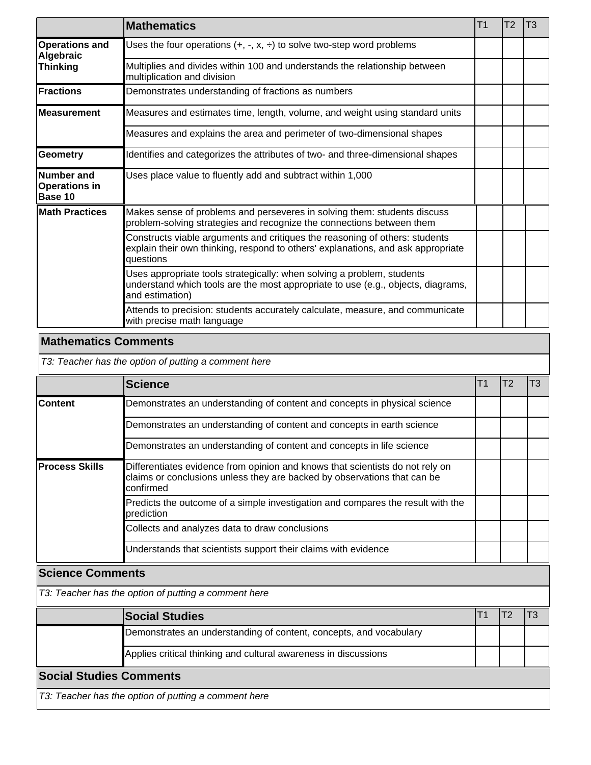|                                                             | <b>Mathematics</b>                                                                                                                                                            | <b>T1</b> | T2 | T3 |
|-------------------------------------------------------------|-------------------------------------------------------------------------------------------------------------------------------------------------------------------------------|-----------|----|----|
| <b>Operations and</b><br><b>Algebraic</b>                   | Uses the four operations $(+, -, x, \div)$ to solve two-step word problems                                                                                                    |           |    |    |
| <b>Thinking</b>                                             | Multiplies and divides within 100 and understands the relationship between<br>multiplication and division                                                                     |           |    |    |
| <b>IFractions</b>                                           | Demonstrates understanding of fractions as numbers                                                                                                                            |           |    |    |
| lMeasurement                                                | Measures and estimates time, length, volume, and weight using standard units                                                                                                  |           |    |    |
|                                                             | Measures and explains the area and perimeter of two-dimensional shapes                                                                                                        |           |    |    |
| <b>Geometry</b>                                             | Identifies and categorizes the attributes of two- and three-dimensional shapes                                                                                                |           |    |    |
| <b>Number</b> and<br><b>Operations in</b><br><b>Base 10</b> | Uses place value to fluently add and subtract within 1,000                                                                                                                    |           |    |    |
| <b>Math Practices</b>                                       | Makes sense of problems and perseveres in solving them: students discuss<br>problem-solving strategies and recognize the connections between them                             |           |    |    |
|                                                             | Constructs viable arguments and critiques the reasoning of others: students<br>explain their own thinking, respond to others' explanations, and ask appropriate<br>questions  |           |    |    |
|                                                             | Uses appropriate tools strategically: when solving a problem, students<br>understand which tools are the most appropriate to use (e.g., objects, diagrams,<br>and estimation) |           |    |    |
|                                                             | Attends to precision: students accurately calculate, measure, and communicate<br>with precise math language                                                                   |           |    |    |
| $\sim$ $\sim$ $\sim$                                        |                                                                                                                                                                               |           |    |    |

#### **Mathematics Comments**

T3: Teacher has the option of putting a comment here

|                       | <b>Science</b>                                                                                                                                                          | Τ1 | T3 |
|-----------------------|-------------------------------------------------------------------------------------------------------------------------------------------------------------------------|----|----|
| <b>Content</b>        | Demonstrates an understanding of content and concepts in physical science                                                                                               |    |    |
|                       | Demonstrates an understanding of content and concepts in earth science                                                                                                  |    |    |
|                       | Demonstrates an understanding of content and concepts in life science                                                                                                   |    |    |
| <b>Process Skills</b> | Differentiates evidence from opinion and knows that scientists do not rely on<br>claims or conclusions unless they are backed by observations that can be<br>lconfirmed |    |    |
|                       | Predicts the outcome of a simple investigation and compares the result with the<br>prediction                                                                           |    |    |
|                       | Collects and analyzes data to draw conclusions                                                                                                                          |    |    |
|                       | Understands that scientists support their claims with evidence                                                                                                          |    |    |

## **Science Comments**

T3: Teacher has the option of putting a comment here

|                                | <b>Social Studies</b>                                              |  |  |  |  |  |  |  |
|--------------------------------|--------------------------------------------------------------------|--|--|--|--|--|--|--|
|                                | Demonstrates an understanding of content, concepts, and vocabulary |  |  |  |  |  |  |  |
|                                | Applies critical thinking and cultural awareness in discussions    |  |  |  |  |  |  |  |
| <b>Social Studies Comments</b> |                                                                    |  |  |  |  |  |  |  |
|                                | T3: Teacher has the option of putting a comment here               |  |  |  |  |  |  |  |